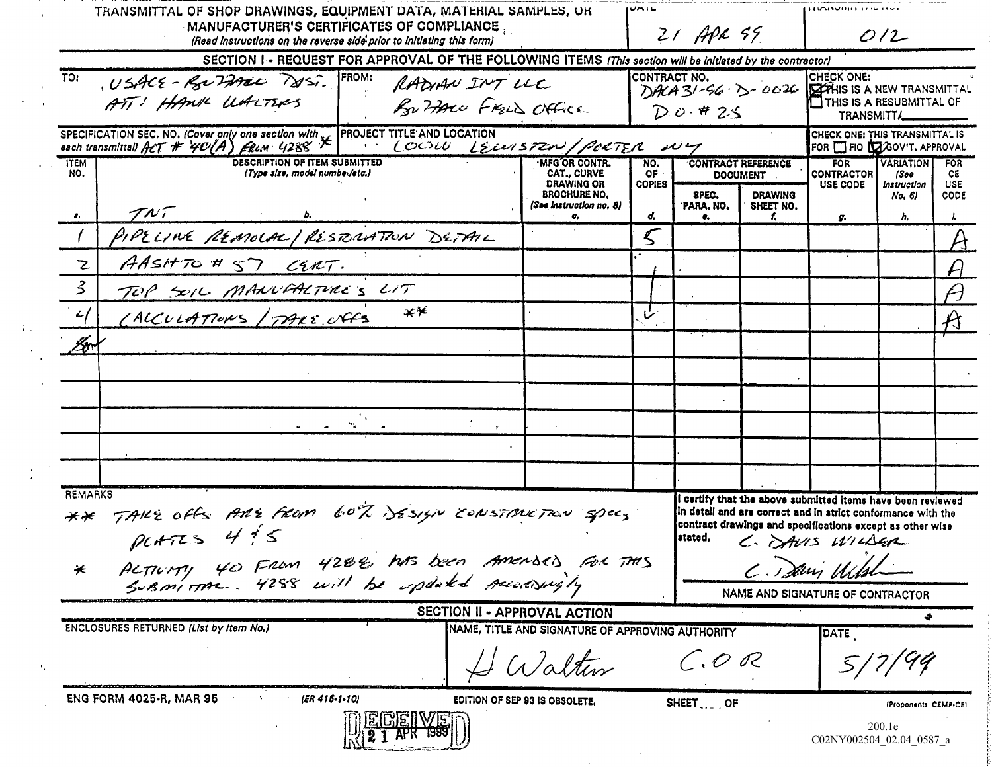|                                 | TRANSMITTAL OF SHOP DRAWINGS, EQUIPMENT DATA, MATERIAL SAMPLES, OR                                                                         | MANUFACTURER'S CERTIFICATES OF COMPLIANCE,<br>(Read instructions on the reverse side prior to initiating this form)                                  |                                                                           |                     | $21$ APR 99         |                                       |                                                                                                                                                                                                                                                                  | O/2                            |                  |
|---------------------------------|--------------------------------------------------------------------------------------------------------------------------------------------|------------------------------------------------------------------------------------------------------------------------------------------------------|---------------------------------------------------------------------------|---------------------|---------------------|---------------------------------------|------------------------------------------------------------------------------------------------------------------------------------------------------------------------------------------------------------------------------------------------------------------|--------------------------------|------------------|
| TO:                             | USACE-RUTZANO TUST. FROM:<br>ATT: HANK WALTERS                                                                                             | SECTION I - REQUEST FOR APPROVAL OF THE FOLLOWING ITEMS (This section will be initiated by the contractor)<br>RADIAN INT LLC<br>Bo HACO FROLD OFFICE |                                                                           | CONTRACT NO.        | $D \ddot{o}$ # 2.5  |                                       | CHECK ONE:<br>$\overline{D}$ ACA 3/-96. $\overline{D}$ -0026 $\overline{D}$ AHIS IS A NEW TRANSMITTAL<br>$\Box$ THIS IS A RESUBMITTAL OF<br>TRANSMITT/_                                                                                                          |                                |                  |
|                                 | SPECIFICATION SEC. NO. (Cover only one section with $*$ PROJECT TITLE AND LOCATION each transmittall $\pi$ + $40(A)$ $\epsilon$ $\epsilon$ | LOOW LEWISTON/PORTER WY                                                                                                                              |                                                                           |                     |                     |                                       | CHECK ONE: THIS TRANSMITTAL IS<br>FOR TFIO LAGOV'T, APPROVAL                                                                                                                                                                                                     |                                |                  |
| <b>ITEM</b><br>NO.              | DESCRIPTION OF ITEM SUBMITTED<br>(Type size, model numbe /etc.)                                                                            |                                                                                                                                                      | <b>MFG OR CONTR.</b><br><b>CAT., CURVE</b>                                | NO.<br>OF.          |                     | CONTRACT REFERENCE<br><b>DOCUMENT</b> | <b>FOR</b><br><b>CONTRACTOR</b>                                                                                                                                                                                                                                  | <b>VARIATION</b><br>(Soo       | <b>FOR</b><br>CE |
| $\cdot$                         | TNT                                                                                                                                        |                                                                                                                                                      | <b>DRAWING OR</b><br><b>BROCHURE NO.</b><br>(See instruction no. 8)<br>o. | <b>COPIES</b><br>d, | SPEC.<br>'PARA. NO. | <b>DRAWING</b><br>SHEET NO.           | USE CODE<br>g.                                                                                                                                                                                                                                                   | instruction<br>No. 6)<br>h,    | USE<br>CODE      |
|                                 | PIPELINE REMOLAL/RESTORATION DETAIL                                                                                                        |                                                                                                                                                      |                                                                           |                     |                     |                                       |                                                                                                                                                                                                                                                                  |                                |                  |
|                                 | AASITTO#57 CERT.                                                                                                                           |                                                                                                                                                      |                                                                           |                     |                     |                                       |                                                                                                                                                                                                                                                                  |                                |                  |
|                                 | TOP SOIL MANUARTURE'S LIT                                                                                                                  |                                                                                                                                                      |                                                                           |                     |                     |                                       |                                                                                                                                                                                                                                                                  |                                |                  |
| $\frac{1}{2}$                   | (ALCULATIONS / TARE OFFS                                                                                                                   | ∗*                                                                                                                                                   |                                                                           | برگ                 |                     |                                       |                                                                                                                                                                                                                                                                  |                                |                  |
| 15er                            |                                                                                                                                            |                                                                                                                                                      |                                                                           |                     |                     |                                       |                                                                                                                                                                                                                                                                  |                                |                  |
|                                 |                                                                                                                                            |                                                                                                                                                      |                                                                           |                     |                     |                                       |                                                                                                                                                                                                                                                                  |                                |                  |
|                                 |                                                                                                                                            |                                                                                                                                                      |                                                                           |                     |                     |                                       |                                                                                                                                                                                                                                                                  |                                |                  |
|                                 |                                                                                                                                            |                                                                                                                                                      |                                                                           |                     |                     |                                       |                                                                                                                                                                                                                                                                  |                                |                  |
|                                 |                                                                                                                                            |                                                                                                                                                      |                                                                           |                     |                     |                                       |                                                                                                                                                                                                                                                                  |                                |                  |
|                                 |                                                                                                                                            |                                                                                                                                                      |                                                                           |                     |                     |                                       |                                                                                                                                                                                                                                                                  |                                |                  |
| REMARKS<br>$\frac{1}{\sqrt{2}}$ | ** TAKE offs ANE FROM 60% )ESIGN CONSTANCTON SPECS<br>ALTIUM 40 FROM 4200 MB been AMENSEIS FOR THIS<br>ALTIUMY                             |                                                                                                                                                      |                                                                           |                     | stated.             |                                       | I certify that the above submitted items have been reviewed<br>In detail and are correct and in strict conformance with the<br>contract drawings and specifications except as other wise<br>C. DAVIS WILSER<br>C. Dain Uchsh<br>NAME AND SIGNATURE OF CONTRACTOR |                                |                  |
|                                 |                                                                                                                                            | SECTION II - APPROVAL ACTION                                                                                                                         |                                                                           |                     |                     |                                       |                                                                                                                                                                                                                                                                  |                                |                  |
|                                 | ENCLOSURES RETURNED (List by Item No.)                                                                                                     |                                                                                                                                                      | NAME, TITLE AND SIGNATURE OF APPROVING AUTHORITY                          |                     | $\diagup$ O R       |                                       | DATE                                                                                                                                                                                                                                                             |                                |                  |
|                                 | <b>ENG FORM 4025-R, MAR 95</b><br>$(ER 415 - 1 - 10)$                                                                                      |                                                                                                                                                      | EDITION OF SEP 93 IS OBSOLETE.                                            |                     | SHEET OF            |                                       | C02NY002504 02.04 0587 a                                                                                                                                                                                                                                         | (Proponenti CEMP-CE)<br>200.1e |                  |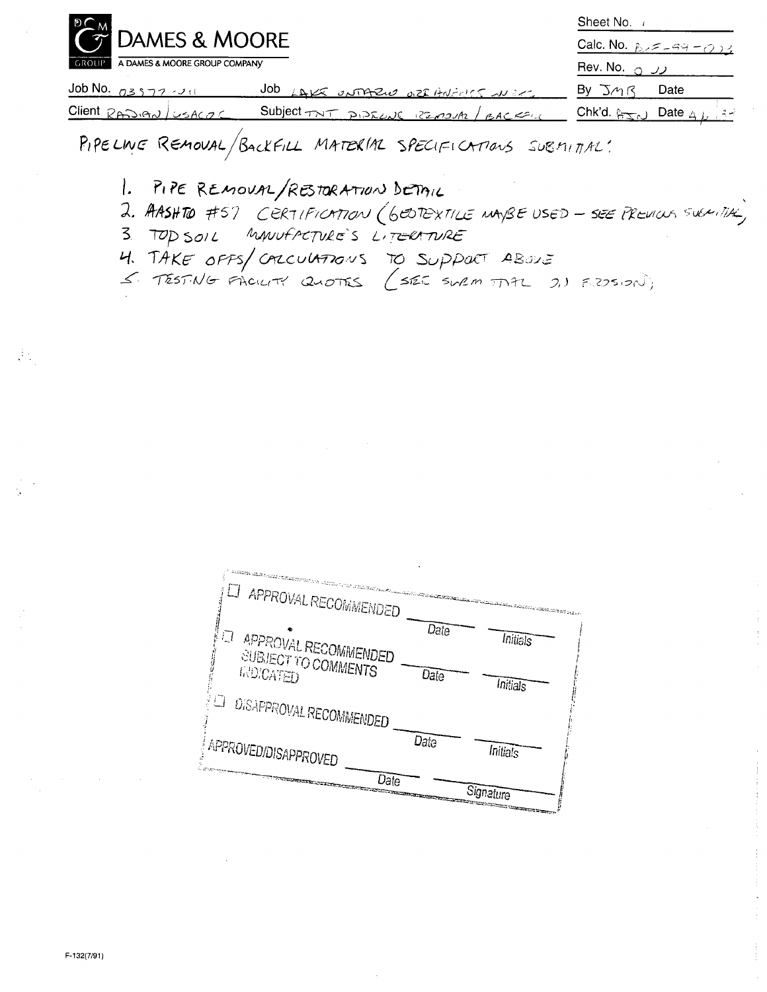|                                        |                                        | Sheet No.                   |                                                            |
|----------------------------------------|----------------------------------------|-----------------------------|------------------------------------------------------------|
| <b>PEM</b> DAMES & MOORE               |                                        |                             | Calc. No. $p_{22} = -99 - (2.34)$                          |
| A DAMES & MOORE GROUP COMPANY<br>GROUP |                                        | رر <sub>C (ک</sub> Rev. No. |                                                            |
| Job No. $7377.31$                      | JOB LAKE UNTARIO OBARRO DURA           | By $\Im$ $\gamma$ $\kappa$  | Date                                                       |
| Client RADIAN/USACOC                   | Subject TNT PIPEULL REMOVER / BACKFILL |                             | Chk'd. $\lim_{n \to \infty}$ Date $\lim_{n \to \infty}$ 24 |

PIPELINE REMOVAL/BACKFILL MATERIAL SPECIFICATIONS SUBMITTAL!

1. PIPE REMOVAL/RESTORATION DETAIL

2. AASHTO #57 CERTIFICATION (GEDTEXTILE MAYBE USED - SEE PREVICUS SUBLITIA)

3. TOD SOIL MANUFACTURE'S LITERATURE

4. TAKE OPPS/CALCULATIONS TO SUPPORT ABOVE

| APPROVAL RECOMMENDED                          |      |                 |  |
|-----------------------------------------------|------|-----------------|--|
| Д<br>APPROVAL RECOMMENDED                     | Date | <i>Initials</i> |  |
| <b>SUBJECT TO COMMENTS</b><br><b>WD</b> CATED | Date | <i>Initials</i> |  |
| DISAPPROVAL RECOMMENDED                       |      |                 |  |
| APPROVED/DISAPPROVED                          | Date | Initials        |  |
| Date                                          |      | Signature       |  |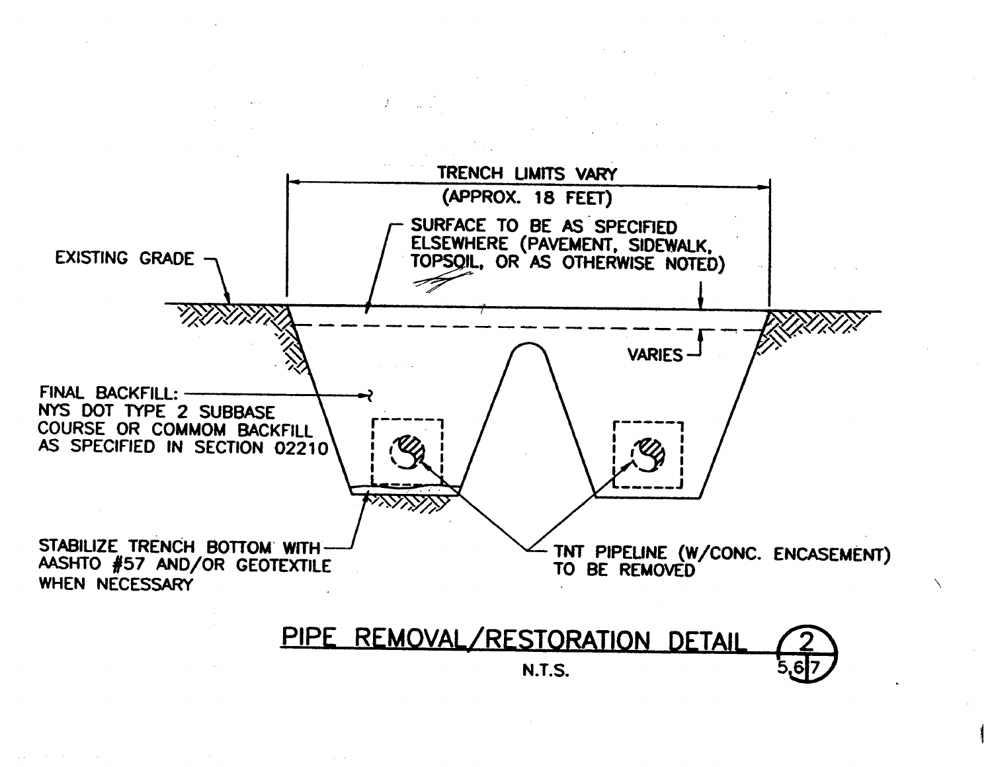

**N.T.S.**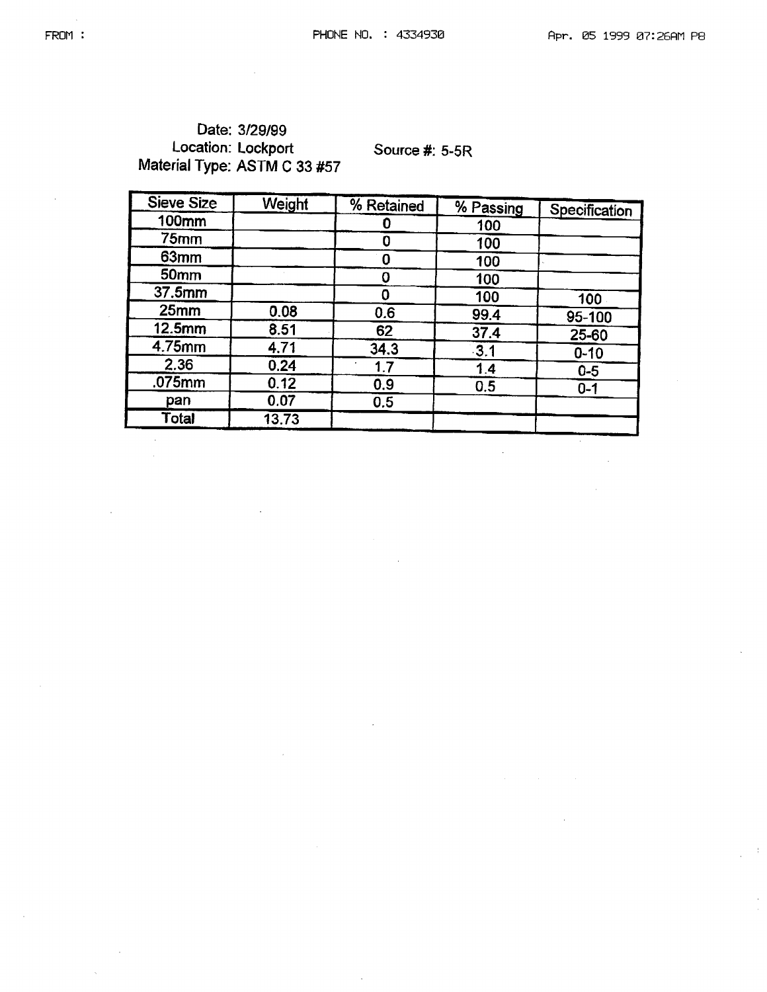## Date: 3/29/99 Location: Lockport Source #: 5-5R Material Type: ASTM C 33 #57

| Sieve Size       | Weight | % Retained |           |               |
|------------------|--------|------------|-----------|---------------|
|                  |        |            | % Passing | Specification |
| <b>100mm</b>     |        |            | 100       |               |
| $75$ mm          |        | 0          | 100       |               |
| 63mm             |        | 0          | 100       |               |
| 50mm             |        | 0          | 100       |               |
| 37.5mm           |        | Ω          | 100       | 100           |
| 25 <sub>mm</sub> | 0.08   | 0.6        | 99.4      | 95-100        |
| 12.5mm           | 8.51   | 62         | 37.4      | 25-60         |
| 4.75mm           | 4.71   | 34.3       | $-3.1$    | $0 - 10$      |
| 2.36             | 0.24   | 1.7        | 1.4       | $0-5$         |
| .075mm           | 0.12   | 0.9        | 0.5       | $0 - 1$       |
| pan              | 0.07   | 0.5        |           |               |
| Total            | 13.73  |            |           |               |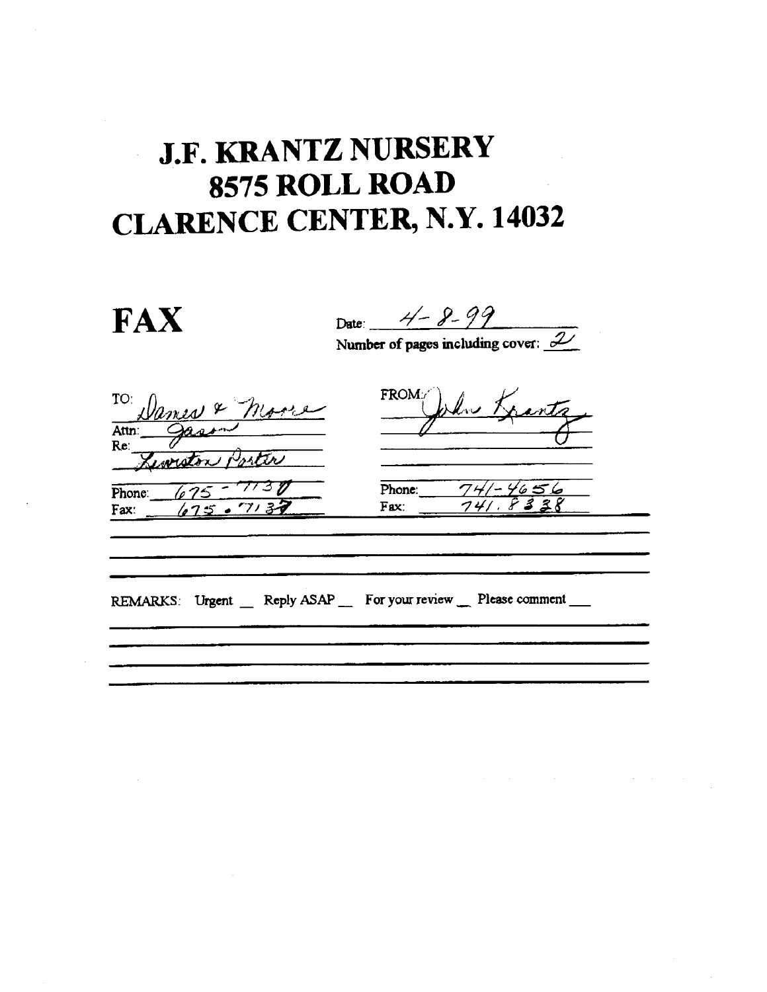## J.F. KRANTZ NURSERY 8575 ROLL ROAD CLARENCE CENTER, N.Y. 14032

| <b>FAX</b>                      | Date: $4 - 8 - 99$<br>Number of pages including cover: $\mathcal{L}'$ |
|---------------------------------|-----------------------------------------------------------------------|
| no Dames & Morre                | FROM John Krantz                                                      |
| Phone: $675$<br>675.713<br>Fax: | Phone: $74/- 4656$<br>Fax                                             |
|                                 | REMARKS: Urgent _ Reply ASAP _ For your review _ Please comment __    |
|                                 |                                                                       |

 $\mathcal{A}$  is a simple polynomial of the space of the space of the space  $\mathcal{A}$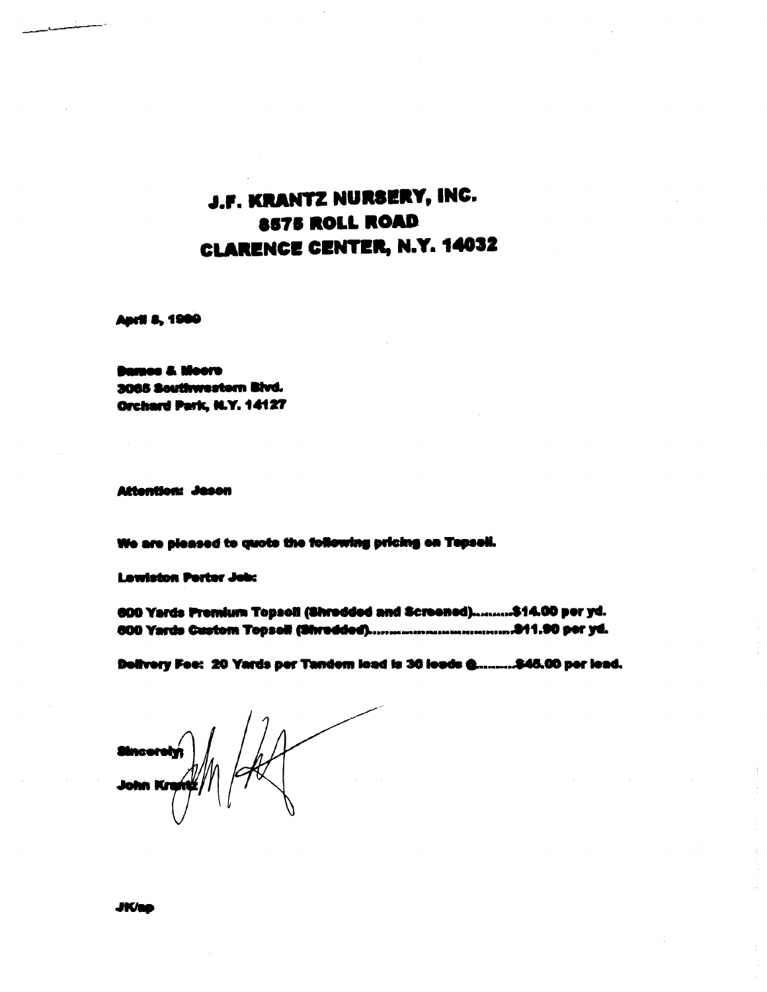## J.F. KRANTZ NURSERY, INC. 8575 ROLL ROAD **CLARENCE CENTER, N.Y. 14032**

**Aucti 8, 1980** 

**Bames & Moore** 3065 Southwestern Blvd. Orchard Park, N.Y. 14127

Attention: Jeson

We are pleased to quote the following pricing on Topsoil.

**Lewiston Perter Job:** 

600 Yards Premium Topsoli (Shredded and Screened)..........\$14.00 per yd. 

Delivery Fee: 20 Yards per Tandem load is 30 leads @..........\$45.00 per lead.

**Sincoroly** 

**JK/so**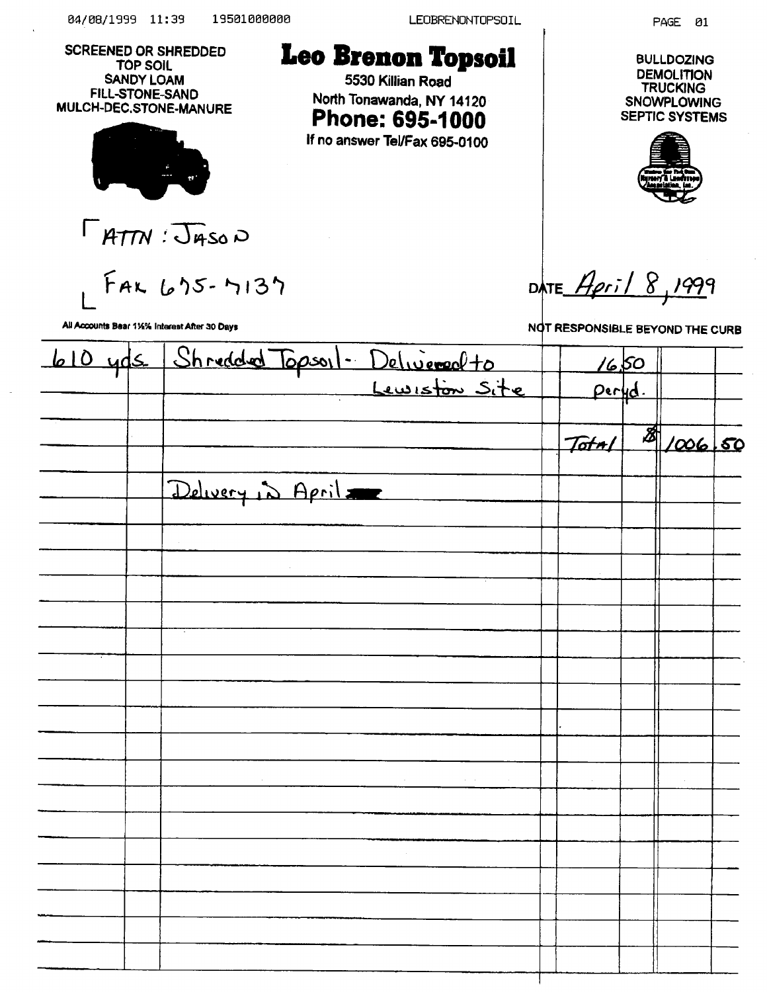$\mathcal{L}_{\mathcal{A}}$ 

LEOBRENONTOPSOIL

| <b>0d\08\1444</b> TT:34                                                                                   | <b>TAPATAQAQAQ</b>  | <b>LEUBRENUNTUPSUIL</b>                                                                                                         |                                 |   | PAGE<br>01                                                                                        |  |
|-----------------------------------------------------------------------------------------------------------|---------------------|---------------------------------------------------------------------------------------------------------------------------------|---------------------------------|---|---------------------------------------------------------------------------------------------------|--|
| <b>SCREENED OR SHREDDED</b><br>TOP SOIL<br><b>SANDY LOAM</b><br>FILL-STONE-SAND<br>MULCH-DEC.STONE-MANURE |                     | <b>Leo Brenon Topsoil</b><br>5530 Killian Road<br>North Tonawanda, NY 14120<br>Phone: 695-1000<br>If no answer Tel/Fax 695-0100 |                                 |   | <b>BULLDOZING</b><br><b>DEMOLITION</b><br><b>TRUCKING</b><br><b>SNOWPLOWING</b><br>SEPTIC SYSTEMS |  |
| $\Gamma$ ATTN: $J$ 450 $D$                                                                                |                     |                                                                                                                                 |                                 |   |                                                                                                   |  |
| $FAKb5-7137$                                                                                              |                     |                                                                                                                                 | DATE April 8, 1999              |   |                                                                                                   |  |
| All Accounts Bear 11/2% Interest After 30 Days                                                            |                     |                                                                                                                                 | NOT RESPONSIBLE BEYOND THE CURB |   |                                                                                                   |  |
| Ô<br><u>ـکلهد</u>                                                                                         | Shredded Topson     | <u>Deliveredto</u><br>$\sim$ .                                                                                                  | <u>16,50</u>                    |   |                                                                                                   |  |
|                                                                                                           |                     | <u>Lewiston Site</u>                                                                                                            | Peryd                           |   |                                                                                                   |  |
|                                                                                                           |                     |                                                                                                                                 |                                 |   |                                                                                                   |  |
|                                                                                                           |                     |                                                                                                                                 | <u>Tafn i</u>                   | 断 | 1006.50                                                                                           |  |
|                                                                                                           | Delivery is April 2 |                                                                                                                                 |                                 |   |                                                                                                   |  |
|                                                                                                           |                     |                                                                                                                                 |                                 |   |                                                                                                   |  |
|                                                                                                           |                     |                                                                                                                                 |                                 |   |                                                                                                   |  |
|                                                                                                           |                     |                                                                                                                                 |                                 |   |                                                                                                   |  |
|                                                                                                           |                     |                                                                                                                                 |                                 |   |                                                                                                   |  |
|                                                                                                           |                     |                                                                                                                                 |                                 |   |                                                                                                   |  |
|                                                                                                           |                     |                                                                                                                                 |                                 |   |                                                                                                   |  |
|                                                                                                           |                     |                                                                                                                                 |                                 |   |                                                                                                   |  |
|                                                                                                           |                     |                                                                                                                                 |                                 |   |                                                                                                   |  |
|                                                                                                           |                     |                                                                                                                                 |                                 |   |                                                                                                   |  |
|                                                                                                           |                     |                                                                                                                                 |                                 |   |                                                                                                   |  |
|                                                                                                           |                     |                                                                                                                                 |                                 |   |                                                                                                   |  |
|                                                                                                           |                     |                                                                                                                                 |                                 |   |                                                                                                   |  |
|                                                                                                           |                     |                                                                                                                                 |                                 |   |                                                                                                   |  |
|                                                                                                           |                     |                                                                                                                                 |                                 |   |                                                                                                   |  |
|                                                                                                           |                     |                                                                                                                                 |                                 |   |                                                                                                   |  |
|                                                                                                           |                     |                                                                                                                                 |                                 |   |                                                                                                   |  |
|                                                                                                           |                     |                                                                                                                                 |                                 |   |                                                                                                   |  |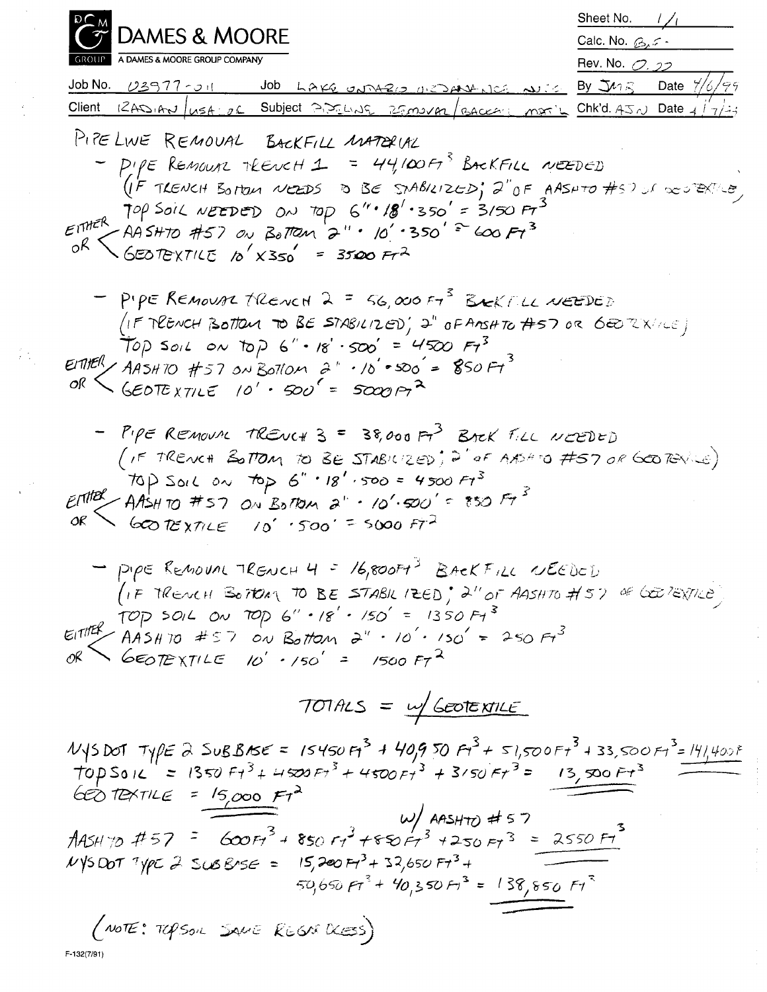$\begin{aligned} \mathcal{L}_{\text{max}}^{(1)} \left( \mathcal{L}_{\text{max}}^{(1)} \right) = \mathcal{L}_{\text{max}}^{(1)} \left( \mathcal{L}_{\text{max}}^{(1)} \right) \end{aligned}$ 

 $\frac{1}{2}\sum_{i=1}^{n} \frac{1}{2} \sum_{j=1}^{n} \frac{1}{2} \sum_{j=1}^{n} \frac{1}{2} \sum_{j=1}^{n} \frac{1}{2} \sum_{j=1}^{n} \frac{1}{2} \sum_{j=1}^{n} \frac{1}{2} \sum_{j=1}^{n} \frac{1}{2} \sum_{j=1}^{n} \frac{1}{2} \sum_{j=1}^{n} \frac{1}{2} \sum_{j=1}^{n} \frac{1}{2} \sum_{j=1}^{n} \frac{1}{2} \sum_{j=1}^{n} \frac{1}{2} \sum_{j=1}^{n}$ 

 $\frac{1}{\sqrt{2\pi}}\left(\frac{1}{2}\right)^{\frac{1}{2}}$ 

Ē.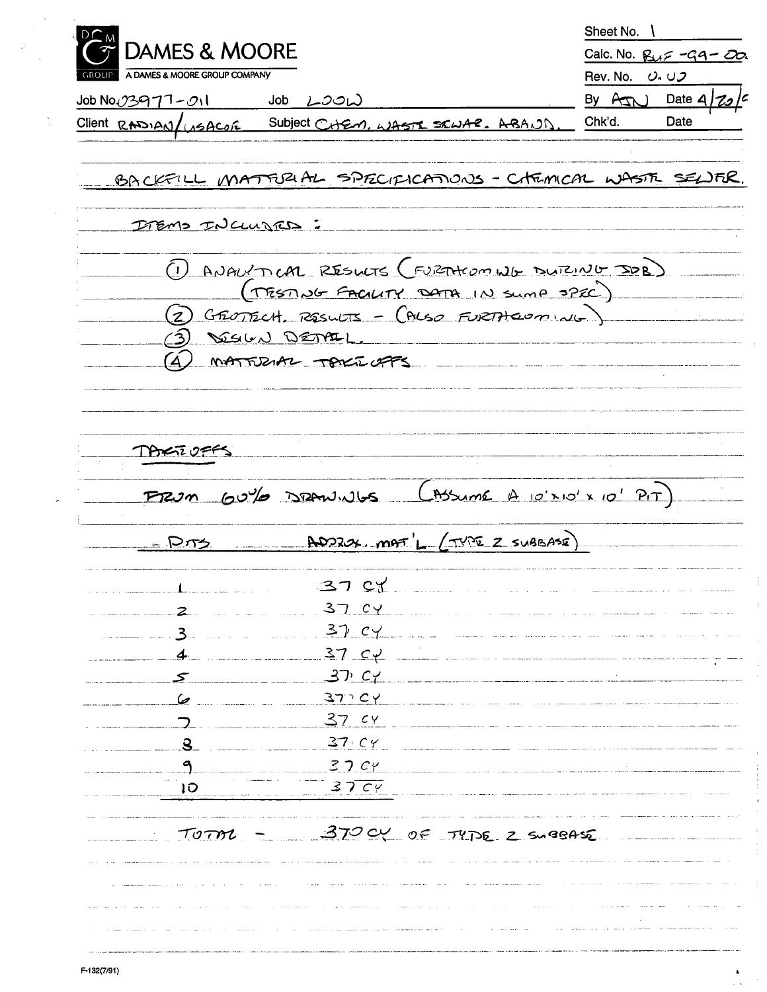|                                             |                                                                                                                                                                                                                             | Sheet No.                          |
|---------------------------------------------|-----------------------------------------------------------------------------------------------------------------------------------------------------------------------------------------------------------------------------|------------------------------------|
| DAMES & MOORE                               |                                                                                                                                                                                                                             | Calc. No. BuF - 99 - 00.           |
| A DAMES & MOORE GROUP COMPANY<br>GROUP      |                                                                                                                                                                                                                             | Rev. No. $\bigcirc. \cup \bigcirc$ |
| Job No 03977-011                            | Job LOOW                                                                                                                                                                                                                    | Date $4 72 ^{c}$<br>By $Ax$        |
| Client RADIAN/USACOR                        | Subject CHEM, WASTI SIWAR, ABAND,                                                                                                                                                                                           | Chk'd.<br>Date                     |
| ITEMS INCLUDED:<br>(3) DESIGN DETAIL<br>(A) | BACKFILL MATTERAL SPECIFICATIONS - CHEMICAL WASTE SELJER.<br>(1) ANALYTICAL RESULTS (FURTHCOMING DUTCING DOB)<br>(TESTING FACILITY DATA IN SUMP 3PEC)<br>$(2)$ GROTECH. RESULTS - (BLSO FURTHEOMING)<br>MATTUZIAZ TAKE OFFS |                                    |
| TANGI OFFS                                  |                                                                                                                                                                                                                             |                                    |
| FRUM 60% DRAWIUS<br><u>__ Prs</u>           | $(M55)$ $M = 4$ $10' \times 10' \times 10'$ $P(T)$<br>ADOROX mor (TVIE 2 SUBBASE)                                                                                                                                           |                                    |
|                                             |                                                                                                                                                                                                                             |                                    |
|                                             | $37$ cy                                                                                                                                                                                                                     |                                    |
|                                             | $37$ $c$ $y$                                                                                                                                                                                                                |                                    |
|                                             | $37$ CY                                                                                                                                                                                                                     |                                    |
| 5                                           | 37C4                                                                                                                                                                                                                        |                                    |
|                                             | $37$ CY                                                                                                                                                                                                                     |                                    |
|                                             | $377$ $C_1$                                                                                                                                                                                                                 |                                    |
|                                             | $37$ $c$                                                                                                                                                                                                                    |                                    |
|                                             | 37C4                                                                                                                                                                                                                        |                                    |
|                                             | $37$ Cy                                                                                                                                                                                                                     |                                    |
| ΙO<br>TOTAL                                 | 3754<br>$370$ CY OF TIDE 2 SUBBASE                                                                                                                                                                                          |                                    |
|                                             |                                                                                                                                                                                                                             |                                    |

l,

 $\frac{\lambda}{\lambda}$ 

 $\bar{\star}$ 

Ł

 $\frac{1}{2}$